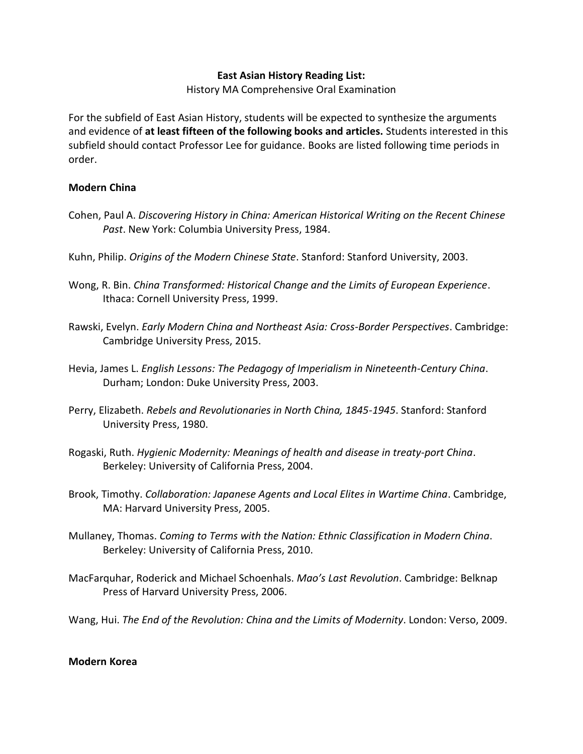## **East Asian History Reading List:**

History MA Comprehensive Oral Examination

For the subfield of East Asian History, students will be expected to synthesize the arguments and evidence of **at least fifteen of the following books and articles.** Students interested in this subfield should contact Professor Lee for guidance. Books are listed following time periods in order.

## **Modern China**

- Cohen, Paul A. *Discovering History in China: American Historical Writing on the Recent Chinese Past*. New York: Columbia University Press, 1984.
- Kuhn, Philip. *Origins of the Modern Chinese State*. Stanford: Stanford University, 2003.
- Wong, R. Bin. *China Transformed: Historical Change and the Limits of European Experience*. Ithaca: Cornell University Press, 1999.
- Rawski, Evelyn. *Early Modern China and Northeast Asia: Cross-Border Perspectives*. Cambridge: Cambridge University Press, 2015.
- Hevia, James L. *English Lessons: The Pedagogy of Imperialism in Nineteenth-Century China*. Durham; London: Duke University Press, 2003.
- Perry, Elizabeth. *Rebels and Revolutionaries in North China, 1845-1945*. Stanford: Stanford University Press, 1980.
- Rogaski, Ruth. *Hygienic Modernity: Meanings of health and disease in treaty-port China*. Berkeley: University of California Press, 2004.
- Brook, Timothy. *Collaboration: Japanese Agents and Local Elites in Wartime China*. Cambridge, MA: Harvard University Press, 2005.
- Mullaney, Thomas. *Coming to Terms with the Nation: Ethnic Classification in Modern China*. Berkeley: University of California Press, 2010.
- MacFarquhar, Roderick and Michael Schoenhals. *Mao's Last Revolution*. Cambridge: Belknap Press of Harvard University Press, 2006.
- Wang, Hui. *The End of the Revolution: China and the Limits of Modernity*. London: Verso, 2009.

## **Modern Korea**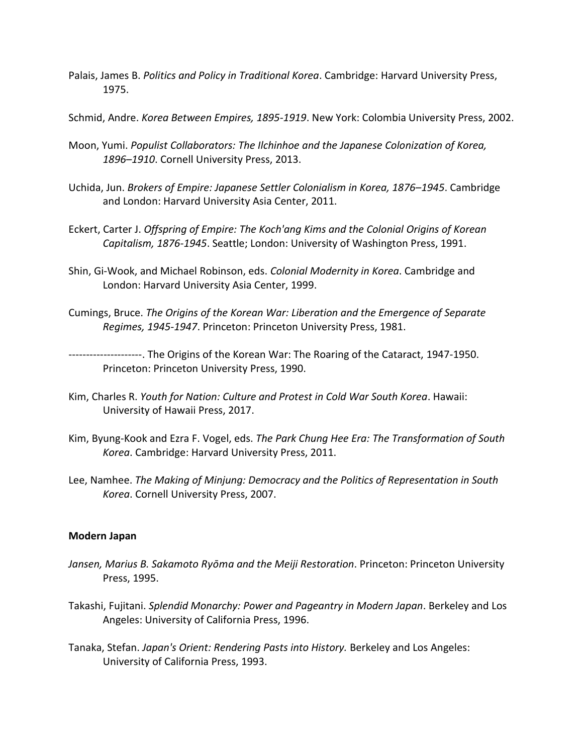- Palais, James B. *Politics and Policy in Traditional Korea*. Cambridge: Harvard University Press, 1975.
- Schmid, Andre. *Korea Between Empires, 1895-1919*. New York: Colombia University Press, 2002.
- Moon, Yumi. *Populist Collaborators: The Ilchinhoe and the Japanese Colonization of Korea, 1896–1910*. Cornell University Press, 2013.
- Uchida, Jun. *Brokers of Empire: Japanese Settler Colonialism in Korea, 1876–1945*. Cambridge and London: Harvard University Asia Center, 2011.
- Eckert, Carter J. *Offspring of Empire: The Koch'ang Kims and the Colonial Origins of Korean Capitalism, 1876-1945*. Seattle; London: University of Washington Press, 1991.
- Shin, Gi-Wook, and Michael Robinson, eds. *Colonial Modernity in Korea*. Cambridge and London: Harvard University Asia Center, 1999.
- Cumings, Bruce. *The Origins of the Korean War: Liberation and the Emergence of Separate Regimes, 1945-1947*. Princeton: Princeton University Press, 1981.

---------------------. The Origins of the Korean War: The Roaring of the Cataract, 1947-1950. Princeton: Princeton University Press, 1990.

- Kim, Charles R. *Youth for Nation: Culture and Protest in Cold War South Korea*. Hawaii: University of Hawaii Press, 2017.
- Kim, Byung-Kook and Ezra F. Vogel, eds. *The Park Chung Hee Era: The Transformation of South Korea*. Cambridge: Harvard University Press, 2011.
- Lee, Namhee. *The Making of Minjung: Democracy and the Politics of Representation in South Korea*. Cornell University Press, 2007.

## **Modern Japan**

- *Jansen, Marius B. Sakamoto Ryōma and the Meiji Restoration*. Princeton: Princeton University Press, 1995.
- Takashi, Fujitani. *Splendid Monarchy: Power and Pageantry in Modern Japan*. Berkeley and Los Angeles: University of California Press, 1996.
- Tanaka, Stefan. *Japan's Orient: Rendering Pasts into History.* Berkeley and Los Angeles: University of California Press, 1993.